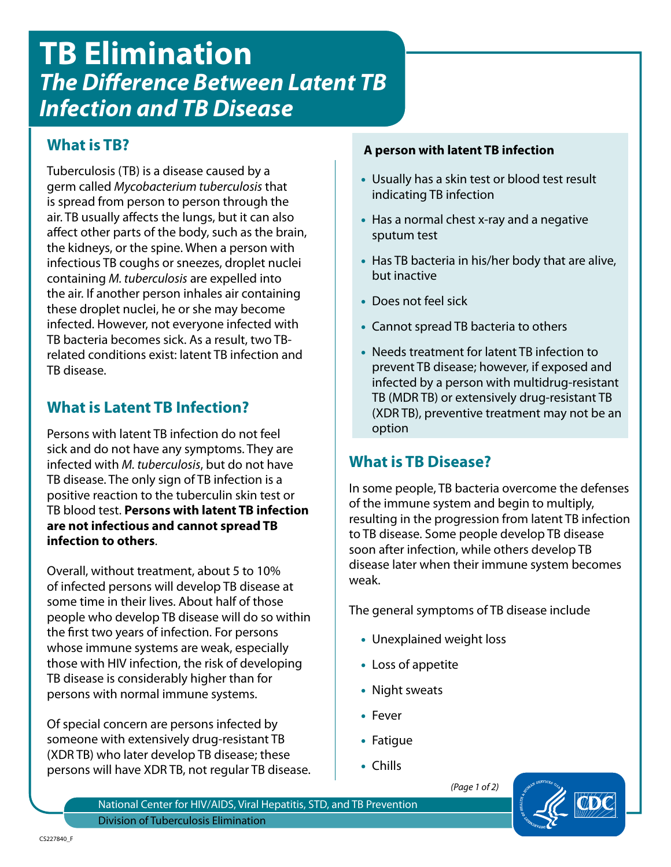# **TB Elimination** *The Difference Between Latent TB Infection and TB Disease*

## **What is TB?**

Tuberculosis (TB) is a disease caused by a germ called *Mycobacterium tuberculosis* that is spread from person to person through the air. TB usually affects the lungs, but it can also affect other parts of the body, such as the brain, the kidneys, or the spine. When a person with infectious TB coughs or sneezes, droplet nuclei containing *M. tuberculosis* are expelled into the air. If another person inhales air containing these droplet nuclei, he or she may become infected. However, not everyone infected with TB bacteria becomes sick. As a result, two TBrelated conditions exist: latent TB infection and TB disease.

## **What is Latent TB Infection?**

Persons with latent TB infection do not feel sick and do not have any symptoms. They are infected with *M. tuberculosis*, but do not have TB disease. The only sign of TB infection is a positive reaction to the tuberculin skin test or TB blood test. **Persons with latent TB infection are not infectious and cannot spread TB infection to others**.

Overall, without treatment, about 5 to 10% of infected persons will develop TB disease at some time in their lives. About half of those people who develop TB disease will do so within the first two years of infection. For persons whose immune systems are weak, especially those with HIV infection, the risk of developing TB disease is considerably higher than for persons with normal immune systems.

Of special concern are persons infected by someone with extensively drug-resistant TB (XDR TB) who later develop TB disease; these persons will have XDR TB, not regular TB disease.

### **A person with latent TB infection**

- Usually has a skin test or blood test result indicating TB infection
- Has a normal chest x-ray and a negative sputum test
- Has TB bacteria in his/her body that are alive, but inactive
- Does not feel sick
- Cannot spread TB bacteria to others
- Needs treatment for latent TB infection to prevent TB disease; however, if exposed and infected by a person with multidrug-resistant TB (MDR TB) or extensively drug-resistant TB (XDR TB), preventive treatment may not be an option

## **What is TB Disease?**

In some people, TB bacteria overcome the defenses of the immune system and begin to multiply, resulting in the progression from latent TB infection to TB disease. Some people develop TB disease soon after infection, while others develop TB disease later when their immune system becomes weak.

The general symptoms of TB disease include

- Unexplained weight loss
- Loss of appetite
- Night sweats
- Fever
- Fatigue
- Chills